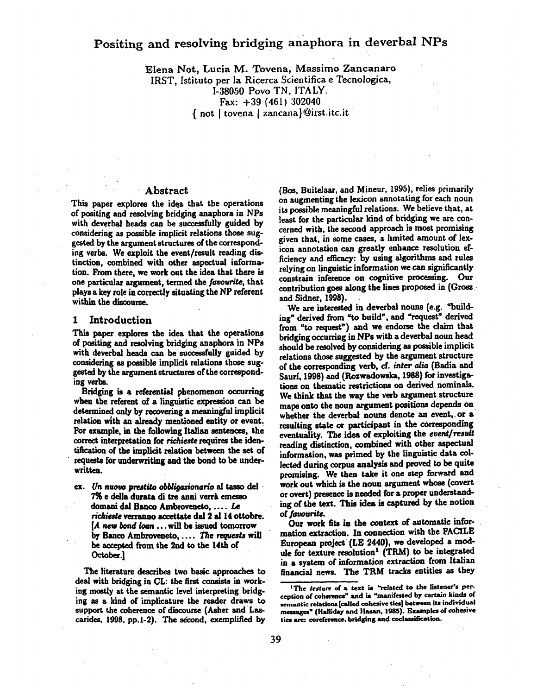# Positing and resolving bridging anaphora in deverbal NPs

Elena Not, Lucia M. Tovena, Massimo Zancanaro IRST, Istituto per la Ricerca Scientifica e Tecnologica, 1-380.50 Povo TN, ITALY. Fax: +39 (461) 302040  ${$  not | tovena | zancana}@irst.itc.it

### Abstract

This paper explores the idqa that the operations of positing and resolving bridging anaphora in NPs with deverbal heads can be successfully guided by considering as possible implicit relations those suggested by the argument structures of the corresponding verbs. We exploit the event/result reading distinction, combined with other aspeetual information. From there, we work out the idea that there is one particular argument, termed the *faeourite,* that plays a key role in correctly situating the NP referent within the discourse.

#### **I** Introduction

This paper explores the idea that the operations of positing and resolving bridging anaphom in NPs with deverbal heads can be successfully guided by considering as possible implicit relations those suggested by the argument structures of the correspondink verbs.

Bridging is a referential phenomenon occurring when the referent of a linguistic expression can be determined only by recovering a meaningful implicit relation with an already mentioned entity or event. For example, in the following Italian sentences, the correct interpretation for *richieste* requires the identification of the implidt relation between the set of requests for underwriting and the bond to be underwritten.

ex. Un nuovo prestito obbligazionario al tasso del 7% e della durata di tre anni verrà emesso domani dal Banco Ambroveneto, .... Le richieste verranno accettate dal 2 al 14 ottobre.  $[A]$  new bond loan ... will be issued tomorrow by Banco Ambroveneto, .... The requests will he accepted from the 2nd to the 14th of October.]

The literature describes two basic approaches to deal with bridging in CL: the first consists in working mostly at the semantic level interpreting bridging as a kind of implicature the reader draws to support the coherence of discourse (Asher and Lascarides, 1998, pp.1-2). The second, exemplified by

(BOS, Buitelaar, and Mineur, 1995), relies primarily on augmenting the lexicon annotating for each noun its possible meaningful relations. We believe that, at least for the particular kind of bridging we are concerned with, the second approach is most promising given that, in some cases, a limited amount of lexicon annotation can greatly enhance resolution efficiency and efficacy: by using algorithms and rules relying on linguistic information we can significantly constrain inference on cognitive processing. Our contribution goes along the lines proposed in (Grosz and Sidner, 1998).

We are interested in deverbal nouns (e.g. "building" derived from "to build", and "request" derived from "to request") and we endorse the claim that bridging occurring in NPs with a deverbal noun head should be resolved by considering as possible implicit relations those suggested by the argument structure of the corresponding verb, cf. *inter alia* (Badia and Saurí, 1998) and (Rozwadowska, 1988) for investigations on thematic restrictions on derived nominals. We think that the way the verb argument structure maps onto the noun argument positions depends on whether the deverbal nouns denote an event, or a resulting state or participant in the corresponding eventuality. The ides of exploiting the *event/result*  reading distinction, combined with other aspectual information, was primed by the linguistic data collected during corpus analysis and proved to be quite promising. We then take it one step forward and work out which is the noun argument whose (covert or overt) presence is needed for a proper understanding of the text. This idea is captured by the notion of favourite.

Our work fits in the context of automatic information extraction. In connection with the FACILE European project (LE 2440), we developed a module for texture resolution<sup>1</sup> (TRM) to be integrated in a system of information extraction from Italian financial news. The TRM tracks entities as they

<sup>&</sup>lt;sup>1</sup>The texture of a text is "related to the listener's perception of coherence" and is "manifested by certain kinds of semantic relations [called cohesive ties] between its individual messages" (Halliday and Hasan, 1985). Examples of cohesive ties are: coreference, bridging and coclassification.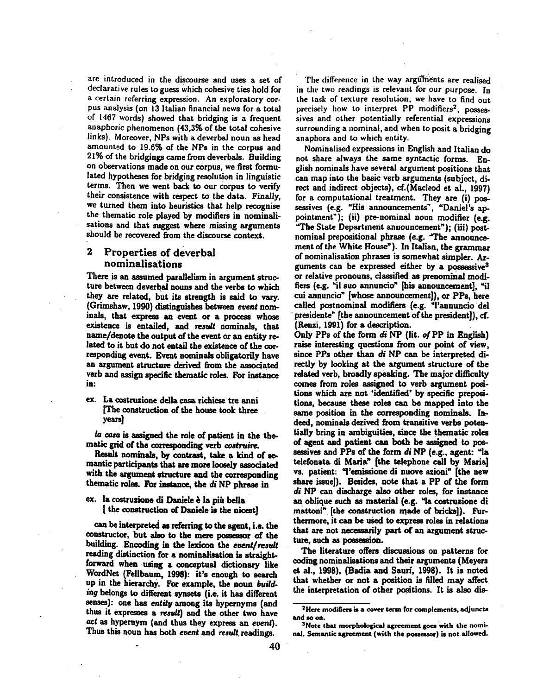are introduced in the discourse and uses a set of declarative rules to guess Which cohesive ties hold for a certain referring expression. An exploratory corpus analysis (on 13 Italian financial news for a total of 1467 words) showed that bridging is a frequent anaphoric phenomenon (43,3% of the total cohesive links). Moreover, NPs with a deverbal noun as head amounted to 19.6% of the NPs in the corpus and 21% of the bridgings came from deverbals. Building on observations made on our corpus, we first formulated hypotheses for bridging resolution in linguistic terms. Then we went back to our corpus to verify their consistence with respect to the data. Finally, we turned them into heuristics that help recognise the thematic role played by modifiers in nominalisations and that suggest where missing arguments should be recovered from the discourse context.

# 2 Properties of deverbal nominalisations

There is an assumed parallelism in argument structure between deverbal nouns and the verbs to which they are related, but its strength is said to vary. (Grimshaw, 1990) distinguishes between event nominals, that express an event or a process whose existence is entailed, and result nominals, that name/denote the output of the event or an entity related to it but do not entail the existence of the corresponding event. Event nominals obligatorily have an argument structure derived from the associated verb and assign specific thematic roles. For instance in:

ex. La costruzione della ¢asa richiese tre anni [The construction of the house took three . **years** 

**/a** casa is assigned the role of patient in the thematic grid of the corresponding verb *costruire*.

Result nominals, by contrast, take a kind of semantic participants that are more loosely associated with the argument structure and the corresponding thematic roles. For instance, the *di* NP phrase in

ex. la costruzione di Daniele & la pih bells [ the construction of Daniele is the nicest]

can be interpreted as referring to the agent, i.e. the constructor, but also to the mere possessor of the building. Encoding in the lexicon the *event/result*  reading distinction for a nominalisation is straightforward when using a conceptual dictionary like WordNet (Fellbaum, 1998): it's enough to search up in the hierarchy. For example, the noun *building* belongs to different synsets (i.e. it has different senses): one has entity among its hypernyms (and thus it expresses a result) and the other two have act as hypernym (and thus they express an event). Thus this noun has both event and result readings.

The difference in the way arguments are realised in the two readings is relevant for our purpose. In the task of texture resolution, we have to find out precisely how to interpret PP modifiers<sup>2</sup>, possessires and other potentially referential expressions surrounding a nominal, and when to posit a bridging anaphora and to which entity.

Nominalised expressions in English and Italian do not share always the same syntactic forms. English nominals have several argument positions that can map into the basic verb arguments (subject, direct and indirect objects), cf.(Macleod et al., 1997) for a computational treatment. They are (i) possessives (e.g. "His announcements", "Daniel's appointment"); (ii) pre-nominal noun modifier (e.g. "The State Department announcement"); (iii) postnominal prepositional phrase (e.g. The announcemeat of the White House"). In Italian, the grammar of nominalisation phrases is somewhat simpler. Arguments can be expressed either by a possessive<sup>3</sup> or relative pronouns, classified as prenominal modifiers (e.g. "il suo annuncio" [his announcement], "il cui annuncio" [whose announcement]), or PPs, here called postnominal modifiers (e.g. "l'annuncio del presidente" [the announcement of the president]), cf. (Renzi, 1991) for a description.

Only PPs of the form di NP (lit. of PP in English) raise interesting questions from our point of view, since PPs other than *di* NP can be interpreted directly by looking at the argument structure of the related verb, broadly speaking. The major difficulty comes from roles assigned to verb argument positions which are not 'identified' by specific prepositions, because these roles can be mapped into the same position in the corresponding nominals. Indeed, nominals derived from transitive verbs potentially bring in ambiguities, since the thematic roles of agent and patient can both be assigned to possessives and PPs of the form *di* NP (e.g., agent: "la telefonata di Maria" (the telephone call by Maria) vs. patient: "l'emissione di nuove azioni" [the new share issue]). Besides, note that a PP of the form *di* NP can discharge also other roles, for instance an oblique such as material (e.g. "In costruzione di mattoni" [the construction made of bricks]). FUrthermore, it can be used to express roles in relations that are not necessarily part of an argument structure, such as possession.

The literature offers discussions on patterns for coding nominalisations and their arguments (Meyers et al., 1998), (Badia and Sanri, 1998). It is noted that whether or not a position is filled may affect the interpretation of other positions. It is also dis-

<sup>&</sup>lt;sup>2</sup>Here modifiers is a cover term for complements, adjuncts and so on.

<sup>&</sup>lt;sup>3</sup>Note that morphological agreement goes with the nominal. Semantic agreement (with the possessor) is not .allowed.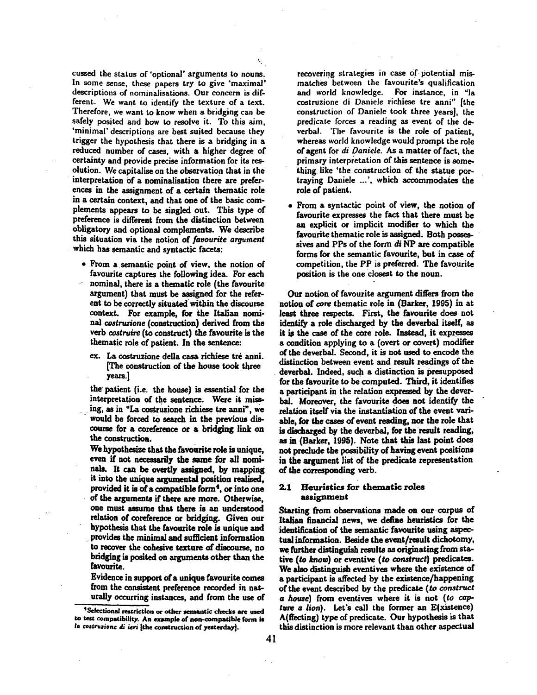cussed the status of 'optional' arguments to nouns. In some sense, these papers try to give 'maximal' descriptions of nominalisations. Our concern is different. We want to identify the texture of a text. Therefore, we want to know when a bridging can be safely posited and how to resolve it. To this aim, 'minimal' descriptions are best suited because they trigger the hypothesis that there is a bridging in a reduced number of cases, with a higher degree of certainty and provide precise information for its resolution. We capitalise on the observation that in the interpretation Of a nominalisation there are preferences in the assignment of a certain thematic role in a certain context, and that one of the basic complements appears to be singled out. This type of preference is different from the distinction between obligatory and optional complements. We describe this situation via the notion of *favourite argument*  which has semantic and syntactic facets:

 $\zeta$ 

- From a semantic point of view, the notion of favourite captures the following idea. For each nominal, there is a thematic role (the favourite argument) that must be assigned for the referent to be correctly situated within the discourse context. For example, for the Italian nomi*nal costruzione* (construction) derived from the verb *costruire (to* construct) the favourite is the thematic role of patient. In the sentence:
	- ex. La costruzione della casa richiese tre anni. [The construction of the house took three years.]

the patient (i.e. the house) is essential for the interpretation of the sentence. Were it miss ing, as in "La costruzione richiese tre anni", we • would be forced to search in the previous discourse for a coreference or a bridging link on the construction.

We hypothesize that the favourite role is unique, even if not necessarily the same for all nominals. It can be overtly assigned, by mapping it into the unique argumental position realised, provided it is of a compatible form<sup>4</sup>, or into one of the arguments if there are more. Otherwise, one must assume that there is an understood relation of coreference or bridging. Given our hypothesis that the favourite role is unique and provides the minimal and sufficient information to recover the cohesive texture of discourse, no bridging is posited on arguments other than the favourite.

Evidence in support of a unique favourite comes from the consistent preference recorded in naturally occurring instances, and from the use of

recovering strategies in case of potential mismatches between the favourite's qualification and world knowledge. For instance, in "la costruzione di Daniele richiese tre anni" [the construction of Daniele took three years], the predicate forces a reading as event of the deverbal. The favourite is the role of patient, whereas world knowledge would prompt the role of agent for *di Daniele.* As a matter of fact, the primary interpretation of this sentence is something like 'the construction of the statue portraying Daniele ...', which accommodates the role of patient.

From a syntactic point of view, the notion of favourite expresses the fact that there must be an explicit or implicit modifier to which the favourite thematic role is assigned. Both possessires and PPs of the form *di* NP are compatible forms for the semantic favourite, but in case of competition, the PP is preferred. The favourite position is the one closest to the noun.

Our notion of favourite argument differs from the notion of core thematic role in (Barker, 1995) in at least three respects. First, the favourite does not identify a role discharged by the deverbal itself, as it is the case of the core role. Instead, it expresses a condition applying to a (overt or covert) modifier ofthe deverbal. Second, it is not used to encode the distinction between event and result readings of the deverbal. Indeed, such a distinction is presupposed for the favourite to be computed. Third, it identifies a participant in the relation expressed by the deverhal. Moreover, the favourite does not identify the relation itself via the instantiation of the event variable, for the cases of event reading, nor the role that is discharged by the deverbal, for the result reading, as in (Barker, 1995). Note that this last point does not preclude the possibility of having event positions in the argument list of the predicate representation of the corresponding verb.

#### 2.1 Heuristics for thematic roles assignment

Starting from observations made on our corpus of Italian financial news, we define heuristics for the identification of the semantic favourite using aspectual information. Beside the event/result dichotomy, we further distinguish results as originating from stative (to know) or eventive (to construct) predicates. We also distinguish eventives where the existence of a participant is affected by the existence/happening of the event described by the predicate *(to construct*  a house) from eventives where it is not (to cap*ture a lion).* Let's call the former an E(xistence) A(ffecting) type of predicate. Our hypothesis is that this distinction is more relevant than other aspectual

<sup>&</sup>lt;sup>4</sup>Selectional restriction or other semantic checks are used to test compatibility. An example of non-compatible form is *to coltsmzione d; ie~* [the construction of yesterdsy].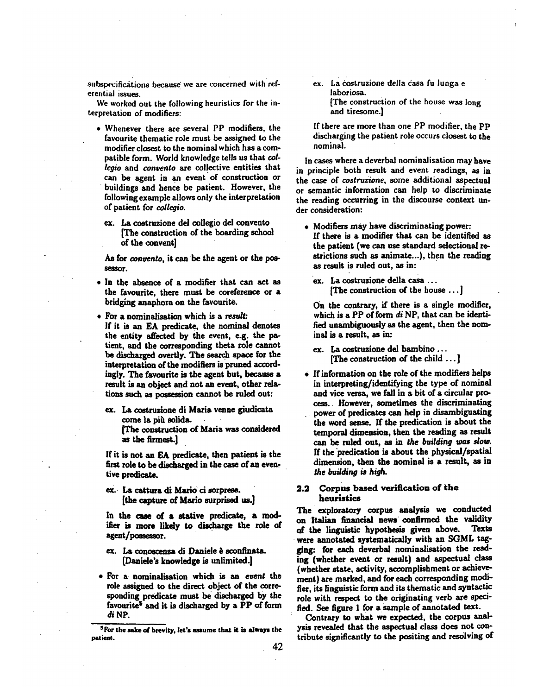subspecifications because we are concerned with referential issues.

We worked out the following heuristics for the interpretation of modifiers:

- Whenever there are several PP modifiers, the favourite thematic role must be assigned to the modifier closest to the nominal which has a compatible form. World knowledge tells us that *collegio and convento are* collective entities that can be agent in an event'of construction or buildings and hence be patient. However, the following example allows only the interpretation of patient for *collegio.* 
	- ex. La coetruzione del collegio del convento [The construction of the boarding school of the convent]

As for *convento,* it can be the agent or the possessor.

- In the absence of a modifier that can act as the favourite, there must be coreference or a bridging anaphora on the favourite.
- For a nominalisation which is a result: If it is an EA predicate, the nominal denotes the entity affected by the event, e.g. the patient, and the corresponding theta role cannot be discharged overtly. The search space for the interpretation of the modifiers is pruned accordingiy. The favourite is the agent but, because a result is an object and not an event, other relations such as possession cannot be ruled out:
	- ex. La costruzione di Maria venne giudicata come la più solida.

[The construction of Maria was considered as the firmest.]

If it is not an EA predicate, then patient is the first role to be discharged in the case of an eventive predicate.

ex. La cattura di Mario ci sorprese. [the capture of Marie surprised us.]

In the case of a stative predicate, a modifier is more likely to discharge the role of agent/possessor.

- ex. La conoscenza di Daniele è sconfinata. [Daniele's knowledge is unlimited.]
- For a- nominalisation which is an *event* the role assigned to the direct object of the corresponding predicate must be discharged by the favourite<sup>5</sup> and it is discharged by a PP of form di NP.

ex. La Costruzione della casa fu lunga e laboriosa. [The construction of the house was long and tiresome.]

If there are more than one PP modifier, the PP discharging the patient role occurs closest to the nominal.

in cases where a deverbal nominalisation may have in principle both result and event readings, as in the case of *costruzione,* some additional aspectual or semantic information can help to discriminate the reading occurring in the discourse context under consideration:

- Modifiers may have discriminating power: If there is a modifier that can be identified as the patient (we can use standard selectionai restrictions such as animate...), then the reading as result is ruled out, as in:
	- ex. La costruzione della casa ... [The construction of the house ... ]

On the contrary, if there is a single modifier, which is a PP of form *di* NP, that can be identified unambiguously as the agent, then the nominal is a result, as in:

- ex. La costruzione del bambino... [The construction of the child... ]
- 0 ff information on the role of the modifiers helps in interpreting/identifying the type of nominal and vice versa, we fall in a bit of a circular process. However, sometimes the discriminating power of predicates can help in disambiguating the word sense. If the predication is about the temporal dimension, then the reading as result can be ruled out, as in the *building was slow.*  If the predication is about the physical/spatial dimension, then the nominal is a result, as in *the building is high.*

#### 2.2 Corpus based verification of the heuristics

The exploratory corpus analysis we conducted on Italian financial news confirmed the validity of the linguistic hypothesis given above. Texts were annotated systematically with an SGML tagging: for each deverbal nominalisation the reading (whether event or result) and aspectual class (whether state, activity, accomplishment or achievement) are marked, and for each corresponding moditier, its linguistic form and its thematic and syntactic role with respect to the originating verb are specified. See figure 1 for a sample of annotated text.

Contrary to what we expected, the corpus analysis revealed that the aspectual class does not contribute significantly to the positing and resolving of

**SFor** the sake of brevity, let's assume that it is always the patient.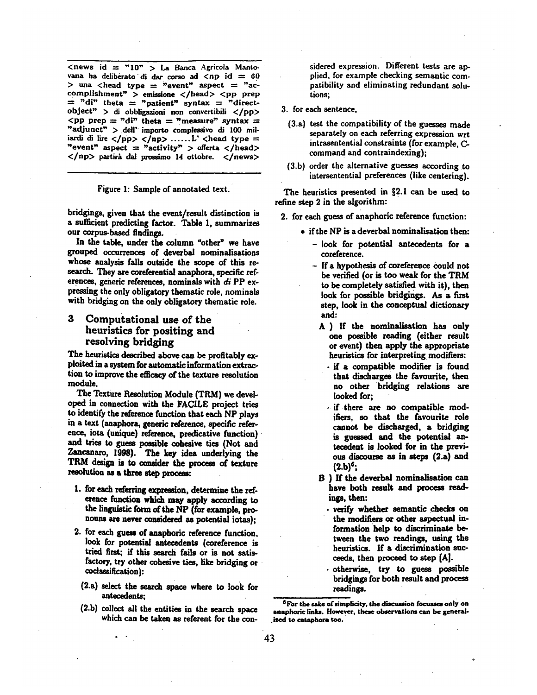$\leq$ news id = "10" > La Banca Agricola Mantovana ha deliberato di dar corso ad  $\langle np \rangle$  id = 60 > una <head type = "event" aspect = "accomplishment" > emissione </head> <pp prep  $=$  "di" theta  $=$  "patient" syntax  $=$  "directobject" > di obbligazioni non convertibili </pp> <pp prep = "di" theta = "measure" syntax = "adjunct" > dell' importo complessivo di 100 miiiardi di lire </pp> </np> ...... L' <head type = "event" aspect = "activity" > offerta </head>  $\langle np \rangle$  partirà dal prossimo 14 ottobre.  $\langle n$ ews $\rangle$ 

Figure 1: Sample of annotated text.

bridgings, given that the event/result distinction is a sufficient predicting factor. Table 1, summarizes our corpus-based findings.

In the table, under the column "other" we have grouped occurrences of deverbal nominalisations whose analysis falls outside the scope of this research. They are coreferential anaphora, specific references, generic references, nominals with *di* PP expressing the only obligatory thematic role, nominals with bridging on the only obligatory thematic role.

## **3** Computational use of the **heuristics for positing and**  resolving bridging

The heuristics described above can be profitably exploited in a system for automatic information extraction to improve the efficacy of the texture resolution module.

The Texture Resolution Module (TRM) we developed in connection with the FACILE project tries to identify the reference function that each NP plays in a text (anaphora, generic reference, specific reference, iota (unique) reference, predicative function) and tries to guess possible cohesive ties (Not and Zancanaro, 1998). The key idea underlying the TRM design is to consider the process of texture resolution as a three step process:

- I. for each referring expression, determine the reference function which may apply according to the linguistic form of the NP (for example, pronouns are never considered as potential iotas);
- 2. for each guess of anaphoric reference function. look for potential antecedents (coreference is tried first; if this search fails or is not satisfactory, try other cohesive ties, like bridging or coclassification):
	- (2.a) select the search space where to look for antecedents;
	- (2.b) collect all the entities in the search space which can be taken as referent for the con-

sidered expression. Different tests are applied, for example checking semantic compatibility and eliminating redundant solutions;

- 3. for each sentence,
	- (3.a) test the compatibility of the guesses made separately on each referring expression wrt intrasentential constraints (for example, Ccommand and contraindexing);
	- (3.b) order the alternative guesses according to intersentential preferences (like centering).

The heuristics presented in §2.1 can be used to refine step 2 in the algorithm:

- 2. for each guess of anaphoric reference function:
	- if the NP is a deverbal nominalisation then:
		- -look for potential antecedents for a coreference.
		- If a hypothesis of coreference could not be verified (or is too weak for the TRM to be completely satisfied with it), then look for possible bridgings. As a first step, look in the conceptual dictionary and:
		- A ) If the nominaiisation has only one possible reading (either result or event) then apply the appropriate heuristics for interpreting modifiers:
			- if a compatible modifier is found that discharges the favourite, then no other bridging relations are looked for;
			- if there are no compatible modifiers, so that the favourite role cannot be discharged, a bridging is guessed and the potential antecedent is looked for in the previous discourse as in steps (2.a) and  $(2.b)^6$ ;
		- B ) If the deverbal nominalisation can have both result and process readings, then:
			- verify whether semantic checks on the modifiers or other aspectual information help to discriminate between the two readings, using the heuristics. If a discrimination succeeds, then proceed to step [A].
		- otherwise, try to guess possible bridgings for both result and process readings.

<sup>6</sup>For the sake of simplicity, the discussion focusses only on anaphoric links. However, these observations can be generalized to cataphora too.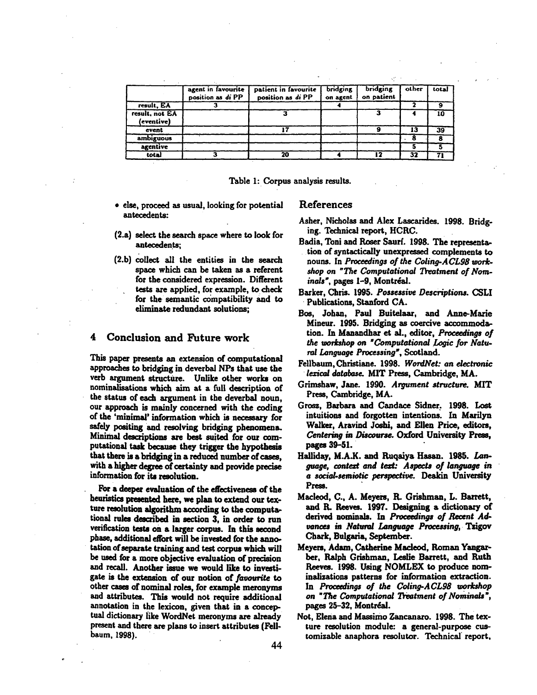|                              | agent in favourite<br>position as di PP | patient in favourite<br>position as di PP | bridging<br>on agent | bridging<br>on patient | other | total |
|------------------------------|-----------------------------------------|-------------------------------------------|----------------------|------------------------|-------|-------|
| result, EA                   |                                         |                                           |                      |                        |       |       |
| result, not EA<br>(eventive) |                                         |                                           |                      |                        |       | 10    |
| event                        |                                         |                                           |                      |                        | 13    | 39    |
| ambiguous                    |                                         |                                           |                      |                        |       |       |
| agentive                     |                                         |                                           |                      |                        |       |       |
| total                        |                                         | 20                                        |                      |                        | 32    |       |

- Table 1: Corpus analysis results.
- else, proceed as usual, looking for potential antecedents:
- **(2.a)**  select the search space where to look for antecedents;
- **(2.b)**  collect all the entities in the search space which can be taken as a referent for the considered expression. Different tests are applied, for example, to check for the semantic compatibility and to eliminate redundant solutions;

# **4 Conclusion and Future work**

This paper presents an extension of computational approaches to bridging in deverbal NPs that use the verb argument structure. Unlike other works on nominalisations which aim at a full description of the status of each argument in the deverbal noun, our approach is mainly concerned with the coding of the 'minimai' information which is necessary for safely positing and resolving bridging phenomena. Minimal descriptions are best suited for our computational task because they trigger the hypothesis that there is s bridging in a reduced number of cases, with a higher degree of certainty and provide precise information for its resolution.

For a deeper evaluation of the effectiveness of the heuristics presented here, we plan to extend our texture resolution algorithm according to the computational rules described in section 3, in order to run verification tests on a larger corpus. In this second phase, additional effort will be invested for the annotation of separate training and test corpus which will be used for a more objective evaluation of precision and recall. Another issue we would like to investigate is the extension of our notion of favourite to other cases of nominal roles, for example meronyms and attributes. This would not require additional annotation in the lexicon, given that in a conceptual dictionary like WordNet meronyms are already present and there are plans to insert attributes (Fellbaum, 1998).

## References

Asher, Nicholas and Alex Lascarides. 1998. Bridging. Technical report, HCRC.

..~- •

- Badia, Toni and Roser Saurf. 1998. The representation of syntactically unexpressed complements to nouns. In *Proceedings of the Coling-A CL98 work. shop on "The Computational Treatment of Nominals', pages* 1-9, Montreal.
- Barker, Chris. 1995. *Possessive Descriptions. CSLI*  Publications, Stanford CA.
- Bce, Johan, Paul Buitelaar, and Anne-Marie Mineur. 1995. Bridging as coercive accommodation. In Mansndhar et al., editor, *Proceedings of the workshop on "Computational Logic for Natural Language Processing',* Scotland.
- Fellbanm, Christiane. 1998. *WordNat: an doctronic lexical database.* MIT Press, Cambridge, MA.
- Grimshaw, Jane. 1990. *Argument structure. MIT*  Press, Cambridge, MA.
- Grosz, Barbara and Candace Sidner. 1998. Lost intuitions and forgotten intentions. In Marilyn Walker, Aravind Joshi, and Ellen Price, editors, Centering in Discourse. Oxford University Press, pages **39-51.**
- Halliday, M.A.K. and Ruqaiya Hasan. 1985. Lan*guage, context and text: Aspects of language in a social-semiotic perspective.* Deakin University Press.
- Macleod, C., A. Meyem, B. Grishman, L. Barrett, and B. Reeves. 1997. Designing a dictionary of derived nominals. In *Proceedings of Recent Advances in Natural Language Processing,. Tsigov*  Chark, Bulgaria, September.
- Meyere, Adam, Catherine Mscleod, Roman Yangarber, Ralph Grishman, Leslie Barrett, and Ruth Reeves. 1998. Using NOMLEX to produce nominalizations patterns for information extraction. In *Proceedings of the Coling-ACL98 workshop* on "The Computational Treatment of Nominals", pages 25-32, Montréal.
- Not, Elena and Massimo Zancanaro. 1998. The texture resolution module: a general-purpose customizable anaphora resolutor. Technical report,